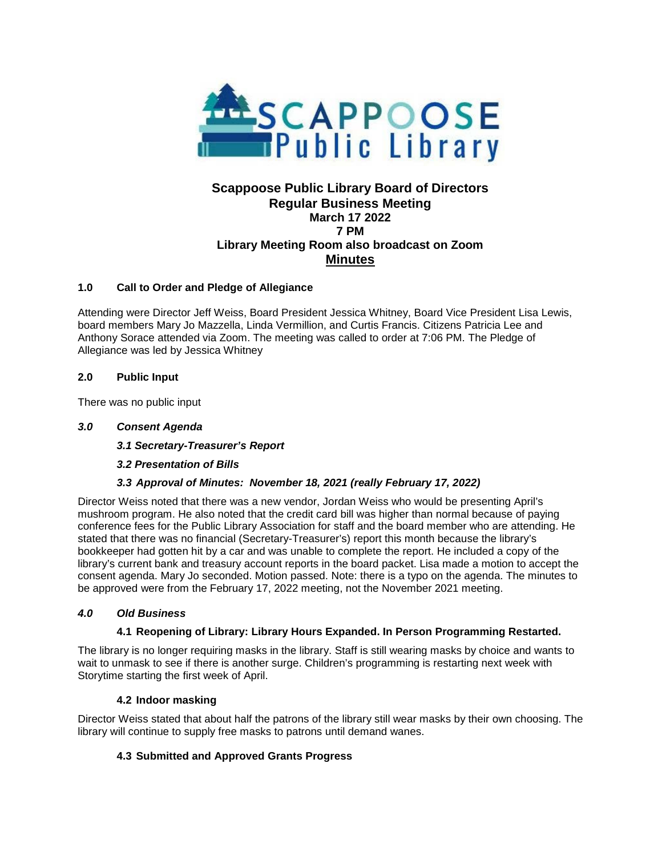

# **Scappoose Public Library Board of Directors Regular Business Meeting March 17 2022 7 PM Library Meeting Room also broadcast on Zoom Minutes**

### **1.0 Call to Order and Pledge of Allegiance**

Attending were Director Jeff Weiss, Board President Jessica Whitney, Board Vice President Lisa Lewis, board members Mary Jo Mazzella, Linda Vermillion, and Curtis Francis. Citizens Patricia Lee and Anthony Sorace attended via Zoom. The meeting was called to order at 7:06 PM. The Pledge of Allegiance was led by Jessica Whitney

### **2.0 Public Input**

There was no public input

### *3.0 Consent Agenda*

*3.1 Secretary-Treasurer's Report*

### *3.2 Presentation of Bills*

### *3.3 Approval of Minutes: November 18, 2021 (really February 17, 2022)*

Director Weiss noted that there was a new vendor, Jordan Weiss who would be presenting April's mushroom program. He also noted that the credit card bill was higher than normal because of paying conference fees for the Public Library Association for staff and the board member who are attending. He stated that there was no financial (Secretary-Treasurer's) report this month because the library's bookkeeper had gotten hit by a car and was unable to complete the report. He included a copy of the library's current bank and treasury account reports in the board packet. Lisa made a motion to accept the consent agenda. Mary Jo seconded. Motion passed. Note: there is a typo on the agenda. The minutes to be approved were from the February 17, 2022 meeting, not the November 2021 meeting.

### *4.0 Old Business*

### **4.1 Reopening of Library: Library Hours Expanded. In Person Programming Restarted.**

The library is no longer requiring masks in the library. Staff is still wearing masks by choice and wants to wait to unmask to see if there is another surge. Children's programming is restarting next week with Storytime starting the first week of April.

#### **4.2 Indoor masking**

Director Weiss stated that about half the patrons of the library still wear masks by their own choosing. The library will continue to supply free masks to patrons until demand wanes.

### **4.3 Submitted and Approved Grants Progress**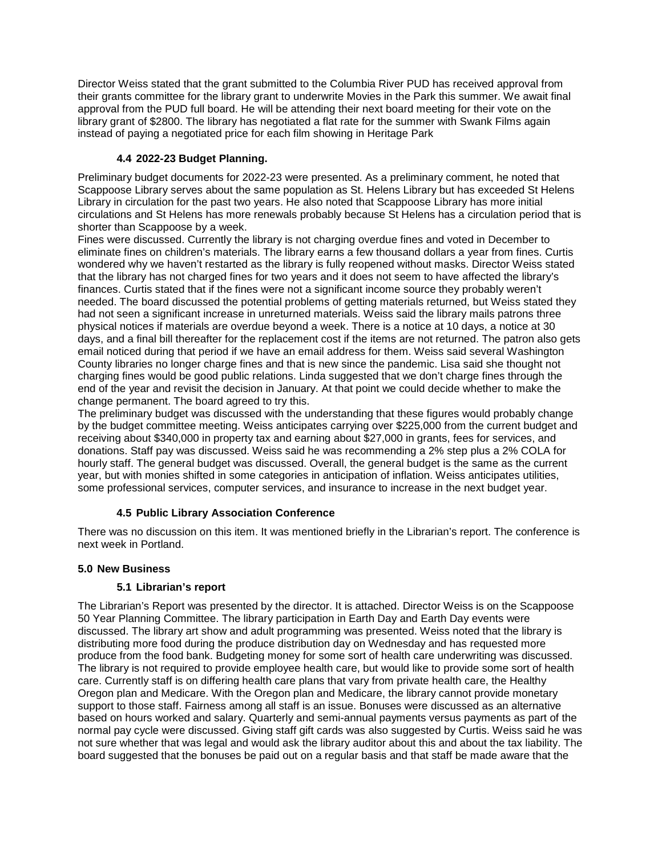Director Weiss stated that the grant submitted to the Columbia River PUD has received approval from their grants committee for the library grant to underwrite Movies in the Park this summer. We await final approval from the PUD full board. He will be attending their next board meeting for their vote on the library grant of \$2800. The library has negotiated a flat rate for the summer with Swank Films again instead of paying a negotiated price for each film showing in Heritage Park

# **4.4 2022-23 Budget Planning.**

Preliminary budget documents for 2022-23 were presented. As a preliminary comment, he noted that Scappoose Library serves about the same population as St. Helens Library but has exceeded St Helens Library in circulation for the past two years. He also noted that Scappoose Library has more initial circulations and St Helens has more renewals probably because St Helens has a circulation period that is shorter than Scappoose by a week.

Fines were discussed. Currently the library is not charging overdue fines and voted in December to eliminate fines on children's materials. The library earns a few thousand dollars a year from fines. Curtis wondered why we haven't restarted as the library is fully reopened without masks. Director Weiss stated that the library has not charged fines for two years and it does not seem to have affected the library's finances. Curtis stated that if the fines were not a significant income source they probably weren't needed. The board discussed the potential problems of getting materials returned, but Weiss stated they had not seen a significant increase in unreturned materials. Weiss said the library mails patrons three physical notices if materials are overdue beyond a week. There is a notice at 10 days, a notice at 30 days, and a final bill thereafter for the replacement cost if the items are not returned. The patron also gets email noticed during that period if we have an email address for them. Weiss said several Washington County libraries no longer charge fines and that is new since the pandemic. Lisa said she thought not charging fines would be good public relations. Linda suggested that we don't charge fines through the end of the year and revisit the decision in January. At that point we could decide whether to make the change permanent. The board agreed to try this.

The preliminary budget was discussed with the understanding that these figures would probably change by the budget committee meeting. Weiss anticipates carrying over \$225,000 from the current budget and receiving about \$340,000 in property tax and earning about \$27,000 in grants, fees for services, and donations. Staff pay was discussed. Weiss said he was recommending a 2% step plus a 2% COLA for hourly staff. The general budget was discussed. Overall, the general budget is the same as the current year, but with monies shifted in some categories in anticipation of inflation. Weiss anticipates utilities, some professional services, computer services, and insurance to increase in the next budget year.

### **4.5 Public Library Association Conference**

There was no discussion on this item. It was mentioned briefly in the Librarian's report. The conference is next week in Portland.

### **5.0 New Business**

### **5.1 Librarian's report**

The Librarian's Report was presented by the director. It is attached. Director Weiss is on the Scappoose 50 Year Planning Committee. The library participation in Earth Day and Earth Day events were discussed. The library art show and adult programming was presented. Weiss noted that the library is distributing more food during the produce distribution day on Wednesday and has requested more produce from the food bank. Budgeting money for some sort of health care underwriting was discussed. The library is not required to provide employee health care, but would like to provide some sort of health care. Currently staff is on differing health care plans that vary from private health care, the Healthy Oregon plan and Medicare. With the Oregon plan and Medicare, the library cannot provide monetary support to those staff. Fairness among all staff is an issue. Bonuses were discussed as an alternative based on hours worked and salary. Quarterly and semi-annual payments versus payments as part of the normal pay cycle were discussed. Giving staff gift cards was also suggested by Curtis. Weiss said he was not sure whether that was legal and would ask the library auditor about this and about the tax liability. The board suggested that the bonuses be paid out on a regular basis and that staff be made aware that the